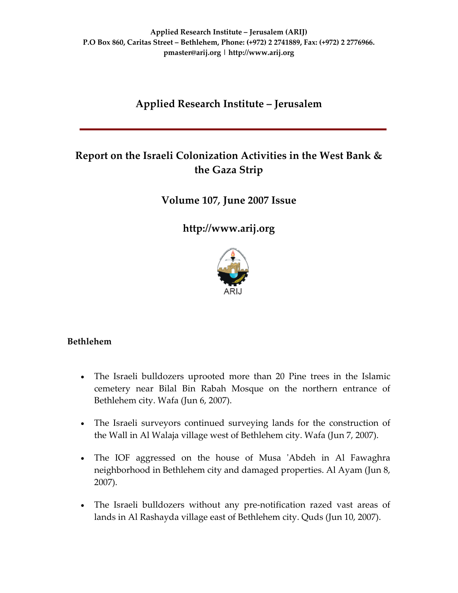# **Applied Research Institute – Jerusalem**

# **Report on the Israeli Colonization Activities in the West Bank & the Gaza Strip**

**Volume 107***,* **June 2007 Issue**

**[http://www.arij.org](http://www.arij.org/)**



## **Bethlehem**

- The Israeli bulldozers uprooted more than 20 Pine trees in the Islamic cemetery near Bilal Bin Rabah Mosque on the northern entrance of Bethlehem city. Wafa (Jun 6, 2007).
- The Israeli surveyors continued surveying lands for the construction of the Wall in Al Walaja village west of Bethlehem city. Wafa (Jun 7, 2007).
- The IOF aggressed on the house of Musa 'Abdeh in Al Fawaghra neighborhood in Bethlehem city and damaged properties. Al Ayam (Jun 8, 2007).
- The Israeli bulldozers without any pre-notification razed vast areas of lands in Al Rashayda village east of Bethlehem city. Quds (Jun 10, 2007).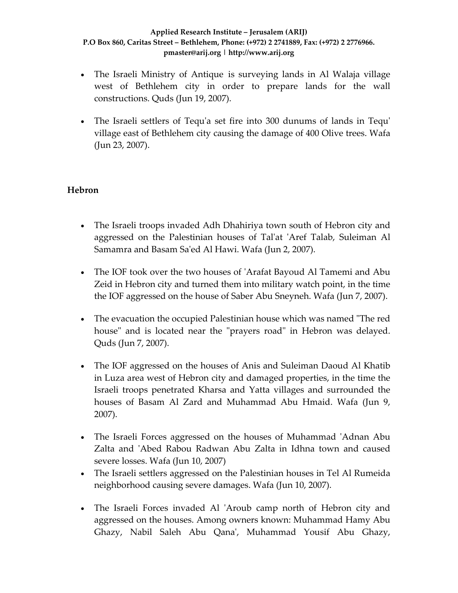- The Israeli Ministry of Antique is surveying lands in Al Walaja village west of Bethlehem city in order to prepare lands for the wall constructions. Quds (Jun 19, 2007).
- The Israeli settlers of Tequ'a set fire into 300 dunums of lands in Tequ' village east of Bethlehem city causing the damage of 400 Olive trees. Wafa (Jun 23, 2007).

## **Hebron**

- The Israeli troops invaded Adh Dhahiriya town south of Hebron city and aggressed on the Palestinian houses of Talʹat ʹAref Talab, Suleiman Al Samamra and Basam Saʹed Al Hawi. Wafa (Jun 2, 2007).
- The IOF took over the two houses of 'Arafat Bayoud Al Tamemi and Abu Zeid in Hebron city and turned them into military watch point, in the time the IOF aggressed on the house of Saber Abu Sneyneh. Wafa (Jun 7, 2007).
- The evacuation the occupied Palestinian house which was named "The red house" and is located near the "prayers road" in Hebron was delayed. Quds (Jun 7, 2007).
- The IOF aggressed on the houses of Anis and Suleiman Daoud Al Khatib in Luza area west of Hebron city and damaged properties, in the time the Israeli troops penetrated Kharsa and Yatta villages and surrounded the houses of Basam Al Zard and Muhammad Abu Hmaid. Wafa (Jun 9, 2007).
- The Israeli Forces aggressed on the houses of Muhammad 'Adnan Abu Zalta and 'Abed Rabou Radwan Abu Zalta in Idhna town and caused severe losses. Wafa (Jun 10, 2007)
- The Israeli settlers aggressed on the Palestinian houses in Tel Al Rumeida neighborhood causing severe damages. Wafa (Jun 10, 2007).
- The Israeli Forces invaded Al 'Aroub camp north of Hebron city and aggressed on the houses. Among owners known: Muhammad Hamy Abu Ghazy, Nabil Saleh Abu Qanaʹ, Muhammad Yousif Abu Ghazy,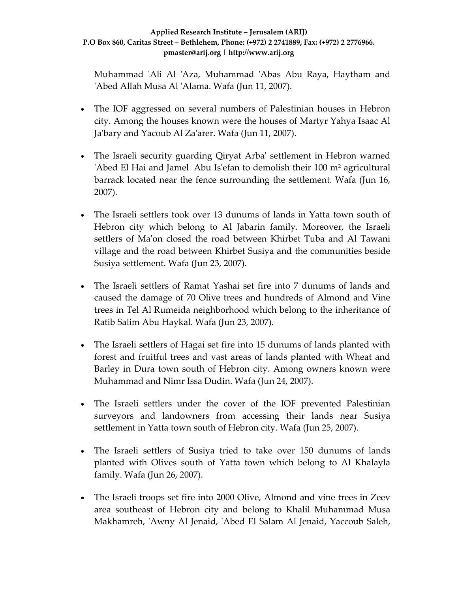Muhammad 'Ali Al 'Aza, Muhammad 'Abas Abu Raya, Haytham and ʹAbed Allah Musa Al ʹAlama. Wafa (Jun 11, 2007).

- The IOF aggressed on several numbers of Palestinian houses in Hebron city. Among the houses known were the houses of Martyr Yahya Isaac Al Ja'bary and Yacoub Al Za'arer. Wafa (Jun 11, 2007).
- The Israeli security guarding Qiryat Arba' settlement in Hebron warned ʹAbed El Hai and Jamel Abu Isʹefan to demolish their 100 m² agricultural barrack located near the fence surrounding the settlement. Wafa (Jun 16, 2007).
- The Israeli settlers took over 13 dunums of lands in Yatta town south of Hebron city which belong to Al Jabarin family. Moreover, the Israeli settlers of Maʹon closed the road between Khirbet Tuba and Al Tawani village and the road between Khirbet Susiya and the communities beside Susiya settlement. Wafa (Jun 23, 2007).
- The Israeli settlers of Ramat Yashai set fire into 7 dunums of lands and caused the damage of 70 Olive trees and hundreds of Almond and Vine trees in Tel Al Rumeida neighborhood which belong to the inheritance of Ratib Salim Abu Haykal. Wafa (Jun 23, 2007).
- The Israeli settlers of Hagai set fire into 15 dunums of lands planted with forest and fruitful trees and vast areas of lands planted with Wheat and Barley in Dura town south of Hebron city. Among owners known were Muhammad and Nimr Issa Dudin. Wafa (Jun 24, 2007).
- The Israeli settlers under the cover of the IOF prevented Palestinian surveyors and landowners from accessing their lands near Susiya settlement in Yatta town south of Hebron city. Wafa (Jun 25, 2007).
- The Israeli settlers of Susiya tried to take over 150 dunums of lands planted with Olives south of Yatta town which belong to Al Khalayla family. Wafa (Jun 26, 2007).
- The Israeli troops set fire into 2000 Olive, Almond and vine trees in Zeev area southeast of Hebron city and belong to Khalil Muhammad Musa Makhamreh, ʹAwny Al Jenaid, ʹAbed El Salam Al Jenaid, Yaccoub Saleh,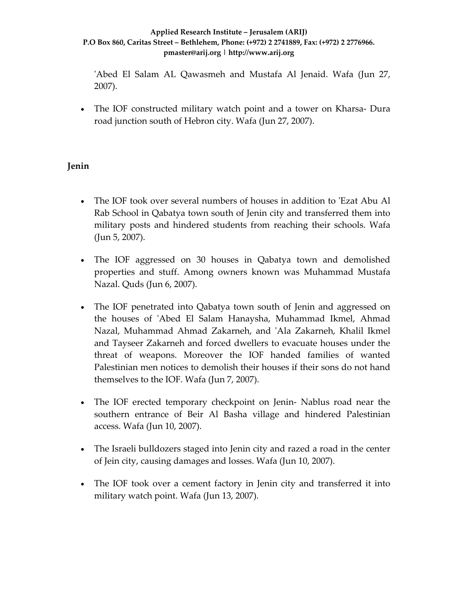ʹAbed El Salam AL Qawasmeh and Mustafa Al Jenaid. Wafa (Jun 27, 2007).

• The IOF constructed military watch point and a tower on Kharsa-Dura road junction south of Hebron city. Wafa (Jun 27, 2007).

## **Jenin**

- The IOF took over several numbers of houses in addition to 'Ezat Abu Al Rab School in Qabatya town south of Jenin city and transferred them into military posts and hindered students from reaching their schools. Wafa (Jun 5, 2007).
- The IOF aggressed on 30 houses in Qabatya town and demolished properties and stuff. Among owners known was Muhammad Mustafa Nazal. Quds (Jun 6, 2007).
- The IOF penetrated into Qabatya town south of Jenin and aggressed on the houses of ʹAbed El Salam Hanaysha, Muhammad Ikmel, Ahmad Nazal, Muhammad Ahmad Zakarneh, and ʹAla Zakarneh, Khalil Ikmel and Tayseer Zakarneh and forced dwellers to evacuate houses under the threat of weapons. Moreover the IOF handed families of wanted Palestinian men notices to demolish their houses if their sons do not hand themselves to the IOF. Wafa (Jun 7, 2007).
- The IOF erected temporary checkpoint on Jenin-Nablus road near the southern entrance of Beir Al Basha village and hindered Palestinian access. Wafa (Jun 10, 2007).
- The Israeli bulldozers staged into Jenin city and razed a road in the center of Jein city, causing damages and losses. Wafa (Jun 10, 2007).
- The IOF took over a cement factory in Jenin city and transferred it into military watch point. Wafa (Jun 13, 2007).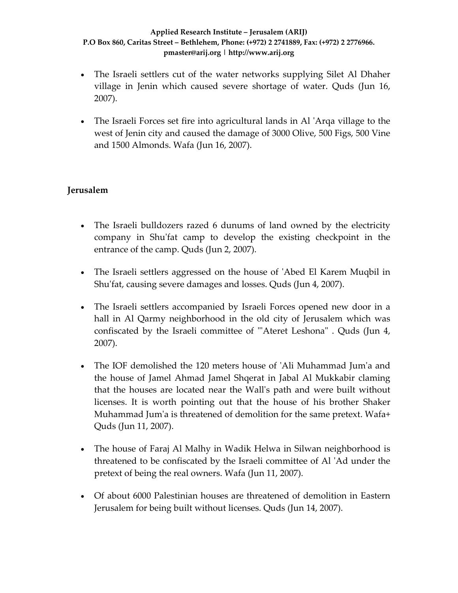- The Israeli settlers cut of the water networks supplying Silet Al Dhaher village in Jenin which caused severe shortage of water. Quds (Jun 16, 2007).
- The Israeli Forces set fire into agricultural lands in Al 'Arqa village to the west of Jenin city and caused the damage of 3000 Olive, 500 Figs, 500 Vine and 1500 Almonds. Wafa (Jun 16, 2007).

## **Jerusalem**

- The Israeli bulldozers razed 6 dunums of land owned by the electricity company in Shuʹfat camp to develop the existing checkpoint in the entrance of the camp. Quds (Jun 2, 2007).
- The Israeli settlers aggressed on the house of 'Abed El Karem Muqbil in Shuʹfat, causing severe damages and losses. Quds (Jun 4, 2007).
- The Israeli settlers accompanied by Israeli Forces opened new door in a hall in Al Qarmy neighborhood in the old city of Jerusalem which was confiscated by the Israeli committee of "Ateret Leshona". Quds (Jun 4, 2007).
- The IOF demolished the 120 meters house of 'Ali Muhammad Jum'a and the house of Jamel Ahmad Jamel Shqerat in Jabal Al Mukkabir claming that the houses are located near the Wallʹs path and were built without licenses. It is worth pointing out that the house of his brother Shaker Muhammad Jumʹa is threatened of demolition for the same pretext. Wafa+ Quds (Jun 11, 2007).
- The house of Faraj Al Malhy in Wadik Helwa in Silwan neighborhood is threatened to be confiscated by the Israeli committee of Al ʹAd under the pretext of being the real owners. Wafa (Jun 11, 2007).
- Of about 6000 Palestinian houses are threatened of demolition in Eastern Jerusalem for being built without licenses. Quds (Jun 14, 2007).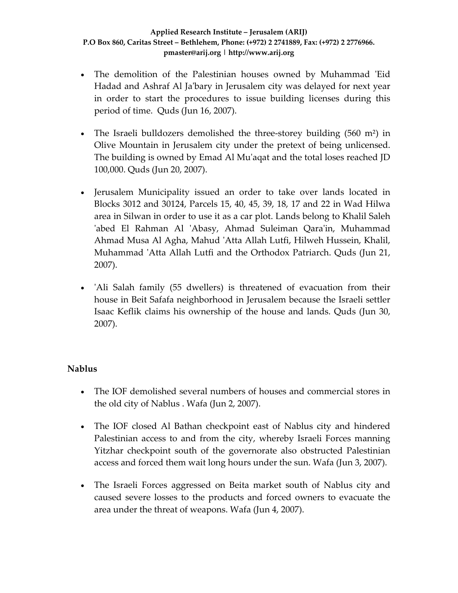- The demolition of the Palestinian houses owned by Muhammad 'Eid Hadad and Ashraf Al Jaʹbary in Jerusalem city was delayed for next year in order to start the procedures to issue building licenses during this period of time. Quds (Jun 16, 2007).
- The Israeli bulldozers demolished the three-storey building (560 m<sup>2</sup>) in Olive Mountain in Jerusalem city under the pretext of being unlicensed. The building is owned by Emad Al Muʹaqat and the total loses reached JD 100,000. Quds (Jun 20, 2007).
- Jerusalem Municipality issued an order to take over lands located in Blocks 3012 and 30124, Parcels 15, 40, 45, 39, 18, 17 and 22 in Wad Hilwa area in Silwan in order to use it as a car plot. Lands belong to Khalil Saleh 'abed El Rahman Al 'Abasy, Ahmad Suleiman Qara'in, Muhammad Ahmad Musa Al Agha, Mahud ʹAtta Allah Lutfi, Hilweh Hussein, Khalil, Muhammad 'Atta Allah Lutfi and the Orthodox Patriarch. Quds (Jun 21, 2007).
- 'Ali Salah family (55 dwellers) is threatened of evacuation from their house in Beit Safafa neighborhood in Jerusalem because the Israeli settler Isaac Keflik claims his ownership of the house and lands. Quds (Jun 30, 2007).

## **Nablus**

- The IOF demolished several numbers of houses and commercial stores in the old city of Nablus . Wafa (Jun 2, 2007).
- The IOF closed Al Bathan checkpoint east of Nablus city and hindered Palestinian access to and from the city, whereby Israeli Forces manning Yitzhar checkpoint south of the governorate also obstructed Palestinian access and forced them wait long hours under the sun. Wafa (Jun 3, 2007).
- The Israeli Forces aggressed on Beita market south of Nablus city and caused severe losses to the products and forced owners to evacuate the area under the threat of weapons. Wafa (Jun 4, 2007).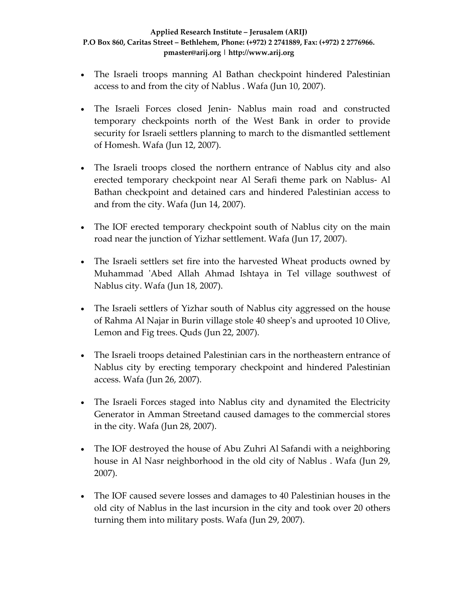- The Israeli troops manning Al Bathan checkpoint hindered Palestinian access to and from the city of Nablus . Wafa (Jun 10, 2007).
- The Israeli Forces closed Jenin- Nablus main road and constructed temporary checkpoints north of the West Bank in order to provide security for Israeli settlers planning to march to the dismantled settlement of Homesh. Wafa (Jun 12, 2007).
- The Israeli troops closed the northern entrance of Nablus city and also erected temporary checkpoint near Al Serafi theme park on Nablus‐ Al Bathan checkpoint and detained cars and hindered Palestinian access to and from the city. Wafa (Jun 14, 2007).
- The IOF erected temporary checkpoint south of Nablus city on the main road near the junction of Yizhar settlement. Wafa (Jun 17, 2007).
- The Israeli settlers set fire into the harvested Wheat products owned by Muhammad ʹAbed Allah Ahmad Ishtaya in Tel village southwest of Nablus city. Wafa (Jun 18, 2007).
- The Israeli settlers of Yizhar south of Nablus city aggressed on the house of Rahma Al Najar in Burin village stole 40 sheepʹs and uprooted 10 Olive, Lemon and Fig trees. Quds (Jun 22, 2007).
- The Israeli troops detained Palestinian cars in the northeastern entrance of Nablus city by erecting temporary checkpoint and hindered Palestinian access. Wafa (Jun 26, 2007).
- The Israeli Forces staged into Nablus city and dynamited the Electricity Generator in Amman Streetand caused damages to the commercial stores in the city. Wafa (Jun 28, 2007).
- The IOF destroyed the house of Abu Zuhri Al Safandi with a neighboring house in Al Nasr neighborhood in the old city of Nablus . Wafa (Jun 29, 2007).
- The IOF caused severe losses and damages to 40 Palestinian houses in the old city of Nablus in the last incursion in the city and took over 20 others turning them into military posts. Wafa (Jun 29, 2007).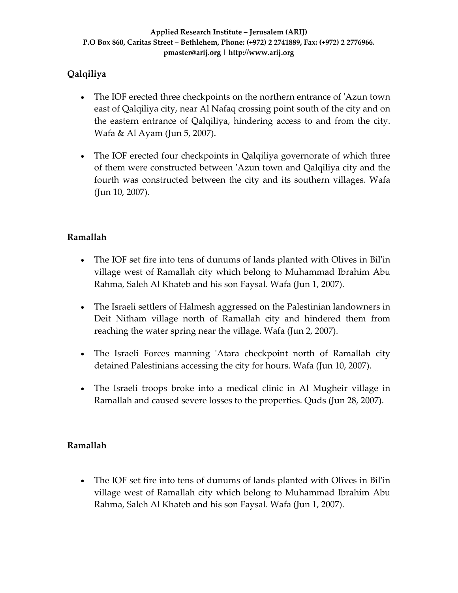## **Qalqiliya**

- The IOF erected three checkpoints on the northern entrance of 'Azun town east of Qalqiliya city, near Al Nafaq crossing point south of the city and on the eastern entrance of Qalqiliya, hindering access to and from the city. Wafa & Al Ayam (Jun 5, 2007).
- The IOF erected four checkpoints in Qalqiliya governorate of which three of them were constructed between ʹAzun town and Qalqiliya city and the fourth was constructed between the city and its southern villages. Wafa (Jun 10, 2007).

## **Ramallah**

- The IOF set fire into tens of dunums of lands planted with Olives in Bil'in village west of Ramallah city which belong to Muhammad Ibrahim Abu Rahma, Saleh Al Khateb and his son Faysal. Wafa (Jun 1, 2007).
- The Israeli settlers of Halmesh aggressed on the Palestinian landowners in Deit Nitham village north of Ramallah city and hindered them from reaching the water spring near the village. Wafa (Jun 2, 2007).
- The Israeli Forces manning 'Atara checkpoint north of Ramallah city detained Palestinians accessing the city for hours. Wafa (Jun 10, 2007).
- The Israeli troops broke into a medical clinic in Al Mugheir village in Ramallah and caused severe losses to the properties. Quds (Jun 28, 2007).

## **Ramallah**

• The IOF set fire into tens of dunums of lands planted with Olives in Bil'in village west of Ramallah city which belong to Muhammad Ibrahim Abu Rahma, Saleh Al Khateb and his son Faysal. Wafa (Jun 1, 2007).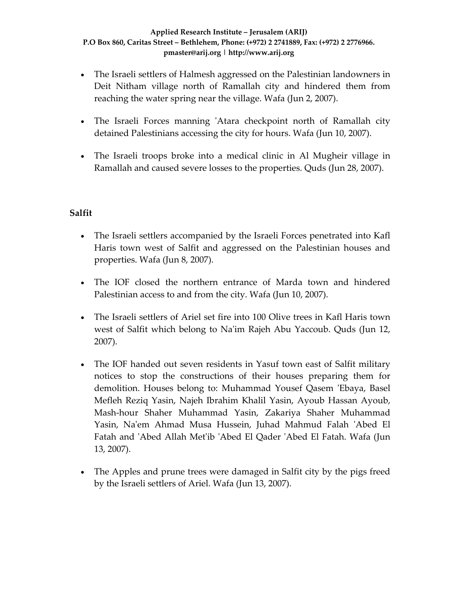- The Israeli settlers of Halmesh aggressed on the Palestinian landowners in Deit Nitham village north of Ramallah city and hindered them from reaching the water spring near the village. Wafa (Jun 2, 2007).
- The Israeli Forces manning 'Atara checkpoint north of Ramallah city detained Palestinians accessing the city for hours. Wafa (Jun 10, 2007).
- The Israeli troops broke into a medical clinic in Al Mugheir village in Ramallah and caused severe losses to the properties. Quds (Jun 28, 2007).

## **Salfit**

- The Israeli settlers accompanied by the Israeli Forces penetrated into Kafl Haris town west of Salfit and aggressed on the Palestinian houses and properties. Wafa (Jun 8, 2007).
- The IOF closed the northern entrance of Marda town and hindered Palestinian access to and from the city. Wafa (Jun 10, 2007).
- The Israeli settlers of Ariel set fire into 100 Olive trees in Kafl Haris town west of Salfit which belong to Na'im Rajeh Abu Yaccoub. Quds (Jun 12, 2007).
- The IOF handed out seven residents in Yasuf town east of Salfit military notices to stop the constructions of their houses preparing them for demolition. Houses belong to: Muhammad Yousef Qasem ʹEbaya, Basel Mefleh Reziq Yasin, Najeh Ibrahim Khalil Yasin, Ayoub Hassan Ayoub, Mash‐hour Shaher Muhammad Yasin, Zakariya Shaher Muhammad Yasin, Naʹem Ahmad Musa Hussein, Juhad Mahmud Falah ʹAbed El Fatah and ʹAbed Allah Metʹib ʹAbed El Qader ʹAbed El Fatah. Wafa (Jun 13, 2007).
- The Apples and prune trees were damaged in Salfit city by the pigs freed by the Israeli settlers of Ariel. Wafa (Jun 13, 2007).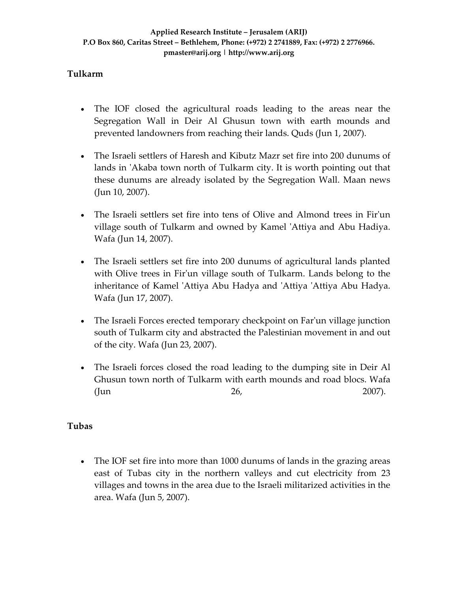## **Tulkarm**

- The IOF closed the agricultural roads leading to the areas near the Segregation Wall in Deir Al Ghusun town with earth mounds and prevented landowners from reaching their lands. Quds (Jun 1, 2007).
- The Israeli settlers of Haresh and Kibutz Mazr set fire into 200 dunums of lands in 'Akaba town north of Tulkarm city. It is worth pointing out that these dunums are already isolated by the Segregation Wall. Maan news (Jun 10, 2007).
- The Israeli settlers set fire into tens of Olive and Almond trees in Fir'un village south of Tulkarm and owned by Kamel 'Attiya and Abu Hadiya. Wafa (Jun 14, 2007).
- The Israeli settlers set fire into 200 dunums of agricultural lands planted with Olive trees in Fir'un village south of Tulkarm. Lands belong to the inheritance of Kamel 'Attiya Abu Hadya and 'Attiya 'Attiya Abu Hadya. Wafa (Jun 17, 2007).
- The Israeli Forces erected temporary checkpoint on Far'un village junction south of Tulkarm city and abstracted the Palestinian movement in and out of the city. Wafa (Jun 23, 2007).
- The Israeli forces closed the road leading to the dumping site in Deir Al Ghusun town north of Tulkarm with earth mounds and road blocs. Wafa (Jun 26, 2007).

## **Tubas**

• The IOF set fire into more than 1000 dunums of lands in the grazing areas east of Tubas city in the northern valleys and cut electricity from 23 villages and towns in the area due to the Israeli militarized activities in the area. Wafa (Jun 5, 2007).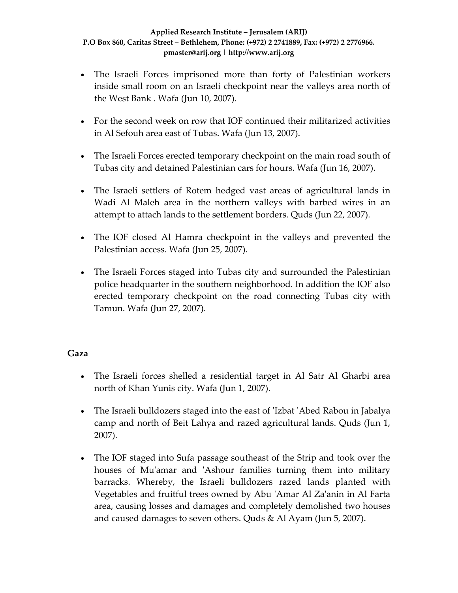- The Israeli Forces imprisoned more than forty of Palestinian workers inside small room on an Israeli checkpoint near the valleys area north of the West Bank . Wafa (Jun 10, 2007).
- For the second week on row that IOF continued their militarized activities in Al Sefouh area east of Tubas. Wafa (Jun 13, 2007).
- The Israeli Forces erected temporary checkpoint on the main road south of Tubas city and detained Palestinian cars for hours. Wafa (Jun 16, 2007).
- The Israeli settlers of Rotem hedged vast areas of agricultural lands in Wadi Al Maleh area in the northern valleys with barbed wires in an attempt to attach lands to the settlement borders. Quds (Jun 22, 2007).
- The IOF closed Al Hamra checkpoint in the valleys and prevented the Palestinian access. Wafa (Jun 25, 2007).
- The Israeli Forces staged into Tubas city and surrounded the Palestinian police headquarter in the southern neighborhood. In addition the IOF also erected temporary checkpoint on the road connecting Tubas city with Tamun. Wafa (Jun 27, 2007).

## **Gaza**

- The Israeli forces shelled a residential target in Al Satr Al Gharbi area north of Khan Yunis city. Wafa (Jun 1, 2007).
- The Israeli bulldozers staged into the east of 'Izbat 'Abed Rabou in Jabalya camp and north of Beit Lahya and razed agricultural lands. Quds (Jun 1, 2007).
- The IOF staged into Sufa passage southeast of the Strip and took over the houses of Mu'amar and 'Ashour families turning them into military barracks. Whereby, the Israeli bulldozers razed lands planted with Vegetables and fruitful trees owned by Abu ʹAmar Al Zaʹanin in Al Farta area, causing losses and damages and completely demolished two houses and caused damages to seven others. Quds & Al Ayam (Jun 5, 2007).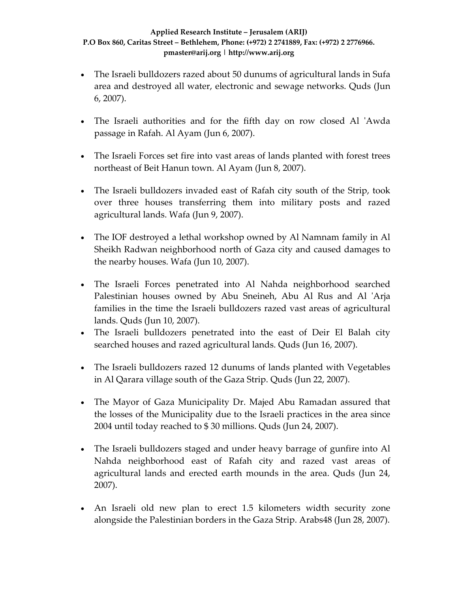- The Israeli bulldozers razed about 50 dunums of agricultural lands in Sufa area and destroyed all water, electronic and sewage networks. Quds (Jun 6, 2007).
- The Israeli authorities and for the fifth day on row closed Al 'Awda passage in Rafah. Al Ayam (Jun 6, 2007).
- The Israeli Forces set fire into vast areas of lands planted with forest trees northeast of Beit Hanun town. Al Ayam (Jun 8, 2007).
- The Israeli bulldozers invaded east of Rafah city south of the Strip, took over three houses transferring them into military posts and razed agricultural lands. Wafa (Jun 9, 2007).
- The IOF destroyed a lethal workshop owned by Al Namnam family in Al Sheikh Radwan neighborhood north of Gaza city and caused damages to the nearby houses. Wafa (Jun 10, 2007).
- The Israeli Forces penetrated into Al Nahda neighborhood searched Palestinian houses owned by Abu Sneineh, Abu Al Rus and Al 'Arja families in the time the Israeli bulldozers razed vast areas of agricultural lands. Quds (Jun 10, 2007).
- The Israeli bulldozers penetrated into the east of Deir El Balah city searched houses and razed agricultural lands. Quds (Jun 16, 2007).
- The Israeli bulldozers razed 12 dunums of lands planted with Vegetables in Al Qarara village south of the Gaza Strip. Quds (Jun 22, 2007).
- The Mayor of Gaza Municipality Dr. Majed Abu Ramadan assured that the losses of the Municipality due to the Israeli practices in the area since 2004 until today reached to \$ 30 millions. Quds (Jun 24, 2007).
- The Israeli bulldozers staged and under heavy barrage of gunfire into Al Nahda neighborhood east of Rafah city and razed vast areas of agricultural lands and erected earth mounds in the area. Quds (Jun 24, 2007).
- An Israeli old new plan to erect 1.5 kilometers width security zone alongside the Palestinian borders in the Gaza Strip. Arabs48 (Jun 28, 2007).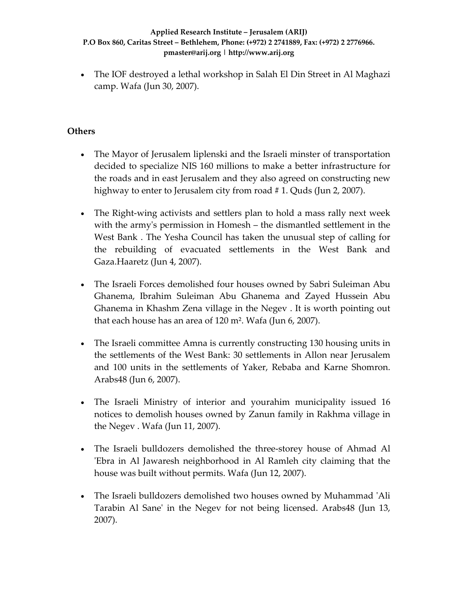• The IOF destroyed a lethal workshop in Salah El Din Street in Al Maghazi camp. Wafa (Jun 30, 2007).

### **Others**

- The Mayor of Jerusalem liplenski and the Israeli minster of transportation decided to specialize NIS 160 millions to make a better infrastructure for the roads and in east Jerusalem and they also agreed on constructing new highway to enter to Jerusalem city from road #1. Quds (Jun 2, 2007).
- The Right-wing activists and settlers plan to hold a mass rally next week with the armyʹs permission in Homesh – the dismantled settlement in the West Bank . The Yesha Council has taken the unusual step of calling for the rebuilding of evacuated settlements in the West Bank and Gaza.Haaretz (Jun 4, 2007).
- The Israeli Forces demolished four houses owned by Sabri Suleiman Abu Ghanema, Ibrahim Suleiman Abu Ghanema and Zayed Hussein Abu Ghanema in Khashm Zena village in the Negev . It is worth pointing out that each house has an area of 120 m². Wafa (Jun 6, 2007).
- The Israeli committee Amna is currently constructing 130 housing units in the settlements of the West Bank: 30 settlements in Allon near Jerusalem and 100 units in the settlements of Yaker, Rebaba and Karne Shomron. Arabs48 (Jun 6, 2007).
- The Israeli Ministry of interior and yourahim municipality issued 16 notices to demolish houses owned by Zanun family in Rakhma village in the Negev . Wafa (Jun 11, 2007).
- The Israeli bulldozers demolished the three-storey house of Ahmad Al ʹEbra in Al Jawaresh neighborhood in Al Ramleh city claiming that the house was built without permits. Wafa (Jun 12, 2007).
- The Israeli bulldozers demolished two houses owned by Muhammad 'Ali Tarabin Al Saneʹ in the Negev for not being licensed. Arabs48 (Jun 13, 2007).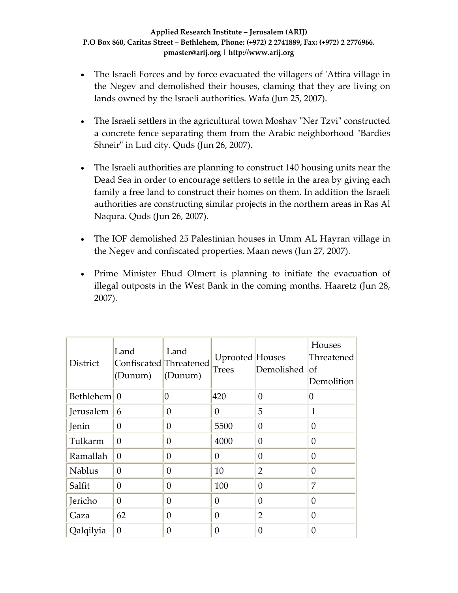- The Israeli Forces and by force evacuated the villagers of 'Attira village in the Negev and demolished their houses, claming that they are living on lands owned by the Israeli authorities. Wafa (Jun 25, 2007).
- The Israeli settlers in the agricultural town Moshav "Ner Tzvi" constructed a concrete fence separating them from the Arabic neighborhood "Bardies" Shneir" in Lud city. Quds (Jun 26, 2007).
- The Israeli authorities are planning to construct 140 housing units near the Dead Sea in order to encourage settlers to settle in the area by giving each family a free land to construct their homes on them. In addition the Israeli authorities are constructing similar projects in the northern areas in Ras Al Naqura. Quds (Jun 26, 2007).
- The IOF demolished 25 Palestinian houses in Umm AL Hayran village in the Negev and confiscated properties. Maan news (Jun 27, 2007).
- Prime Minister Ehud Olmert is planning to initiate the evacuation of illegal outposts in the West Bank in the coming months. Haaretz (Jun 28, 2007).

| District                 | Land<br>Confiscated Threatened<br>(Dunum) | Land<br>(Dunum) | Uprooted Houses<br>Trees | Demolished     | Houses<br>Threatened<br>$\circ$ f<br>Demolition |
|--------------------------|-------------------------------------------|-----------------|--------------------------|----------------|-------------------------------------------------|
| Bethlehem <sup>1</sup> 0 |                                           | 0               | 420                      | $\theta$       | 0                                               |
| Jerusalem                | 6                                         | $\overline{0}$  | 0                        | 5              | 1                                               |
| Jenin                    | 0                                         | $\overline{0}$  | 5500                     | $\overline{0}$ | 0                                               |
| Tulkarm                  | $\theta$                                  | $\overline{0}$  | 4000                     | $\theta$       | 0                                               |
| Ramallah                 | $\theta$                                  | $\overline{0}$  | 0                        | $\theta$       | $\theta$                                        |
| <b>Nablus</b>            | $\theta$                                  | $\overline{0}$  | 10                       | $\overline{2}$ | 0                                               |
| Salfit                   | $\theta$                                  | $\overline{0}$  | 100                      | $\overline{0}$ | 7                                               |
| Jericho                  | $\theta$                                  | $\theta$        | 0                        | 0              | $\Omega$                                        |
| Gaza                     | 62                                        | $\overline{0}$  | $\theta$                 | $\overline{2}$ | $\theta$                                        |
| Qalqilyia                | $\theta$                                  | 0               | $\Omega$                 | 0              | 0                                               |